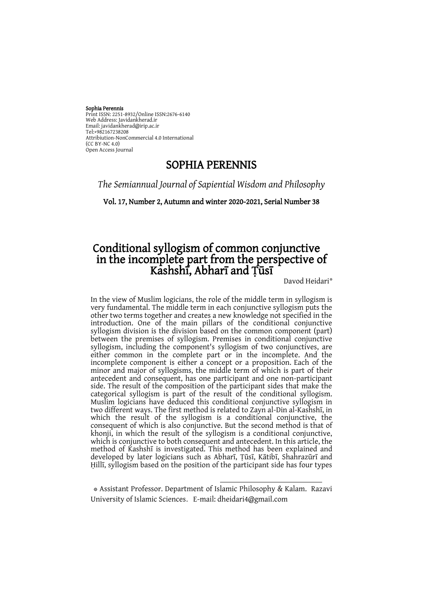Sophia Perennis Print ISSN: 2251-8932/Online ISSN:2676-6140 Web Address: Javidankherad.ir Email[: javidankherad@irip.ac.ir](mailto:javidankherad@irip.ac.ir) [Tel:+982167238208](tel:+982167238208) Attribiution-NonCommercial 4.0 International (CC BY-NC 4.0) Open Access Journal

## SOPHIA PERENNIS

*The Semiannual Journal of Sapiential Wisdom and Philosophy*

Vol. 17, Number 2, Autumn and winter 2020-2021, Serial Number 38

## Conditional syllogism of common conjunctive in the incomplete part from the perspective of Kashshī, Abharī and Ṭūsī

Davod Heidari\*

In the view of Muslim logicians, the role of the middle term in syllogism is very fundamental. The middle term in each conjunctive syllogism puts the other two terms together and creates a new knowledge not specified in the introduction. One of the main pillars of the conditional conjunctive syllogism division is the division based on the common component (part) between the premises of syllogism. Premises in conditional conjunctive syllogism, including the component's syllogism of two conjunctives, are either common in the complete part or in the incomplete. And the incomplete component is either a concept or a proposition. Each of the minor and major of syllogisms, the middle term of which is part of their antecedent and consequent, has one participant and one non-participant side. The result of the composition of the participant sides that make the categorical syllogism is part of the result of the conditional syllogism. Muslim logicians have deduced this conditional conjunctive syllogism in two different ways. The first method is related to Zayn al-Din al-Kashshī, in which the result of the syllogism is a conditional conjunctive, the consequent of which is also conjunctive. But the second method is that of khonji, in which the result of the syllogism is a conditional conjunctive, which is conjunctive to both consequent and antecedent. In this article, the method of Kashshī is investigated. This method has been explained and developed by later logicians such as Abharī, Ṭūsī, Kātibī, Shahrazūrī and Ḥillī, syllogism based on the position of the participant side has four types

\* Assistant Professor. Department of Islamic Philosophy & Kalam. Razavi University of Islamic Sciences. E-mail: dheidari4@gmail.com

-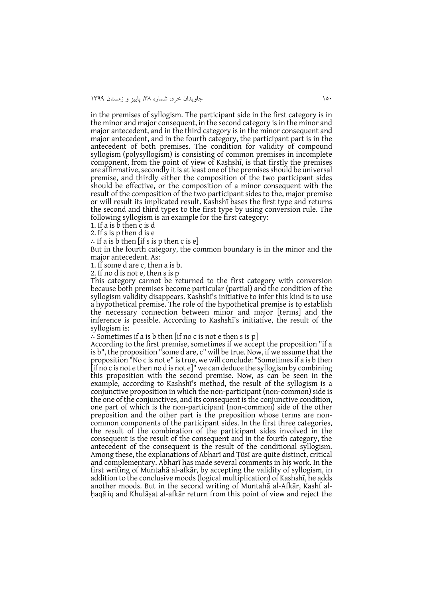in the premises of syllogism. The participant side in the first category is in the minor and major consequent, in the second category is in the minor and major antecedent, and in the third category is in the minor consequent and major antecedent, and in the fourth category, the participant part is in the antecedent of both premises. The condition for validity of compound syllogism (polysyllogism) is consisting of common premises in incomplete component, from the point of view of Kashshī, is that firstly the premises are affirmative, secondly it is at least one of the premises should be universal premise, and thirdly either the composition of the two participant sides should be effective, or the composition of a minor consequent with the result of the composition of the two participant sides to the, major premise or will result its implicated result. Kashshī bases the first type and returns the second and third types to the first type by using conversion rule. The following syllogism is an example for the first category:

1. If a is b then c is d

2. If s is p then d is e

∴ If a is b then [if s is p then c is e]

But in the fourth category, the common boundary is in the minor and the major antecedent. As:

1. If some d are c, then a is b.

2. If no d is not e, then s is p

This category cannot be returned to the first category with conversion because both premises become particular (partial) and the condition of the syllogism validity disappears. Kashshī's initiative to infer this kind is to use a hypothetical premise. The role of the hypothetical premise is to establish the necessary connection between minor and major [terms] and the inference is possible. According to Kashshī's initiative, the result of the syllogism is:

∴ Sometimes if a is b then [if no c is not e then s is p]

According to the first premise, sometimes if we accept the proposition "if a is b", the proposition "some d are, c" will be true. Now, if we assume that the proposition "No c is not e" is true, we will conclude: "Sometimes if a is b then [if no c is not e then no d is not e]" we can deduce the syllogism by combining this proposition with the second premise. Now, as can be seen in the example, according to Kashshī's method, the result of the syllogism is a conjunctive proposition in which the non-participant (non-common) side is the one of the conjunctives, and its consequent is the conjunctive condition, one part of which is the non-participant (non-common) side of the other preposition and the other part is the preposition whose terms are noncommon components of the participant sides. In the first three categories, the result of the combination of the participant sides involved in the consequent is the result of the consequent and in the fourth category, the antecedent of the consequent is the result of the conditional syllogism. Among these, the explanations of Abharī and Ṭūsī are quite distinct, critical and complementary. Abharī has made several comments in his work. In the first writing of Muntahā al-afkār, by accepting the validity of syllogism, in addition to the conclusive moods (logical multiplication) of Kashshī, he adds another moods. But in the second writing of Muntahā al-Afkār, Kashf alhaqā'iq and Khulāṣat al-afkār return from this point of view and reject the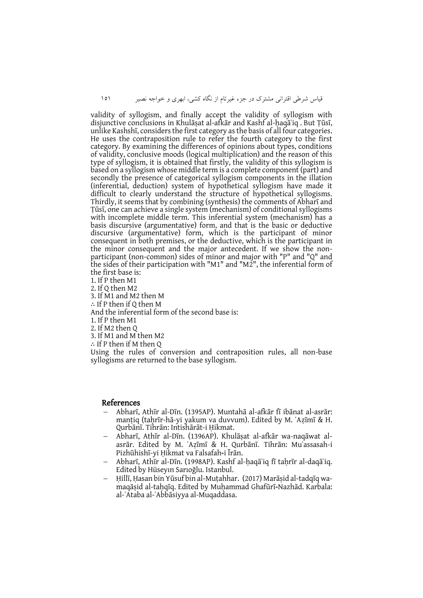قیاس شرطی اقترانی مشترک در جزء غیرتام از نگاه کشی، ابهری و خواجه نصیر 050

validity of syllogism, and finally accept the validity of syllogism with disjunctive conclusions in Khulāṣat al-afkār and Kashf al-ḥaqāʾiq . But Ṭūsī, unlike Kashshī, considers the first category as the basis of all four categories. He uses the contraposition rule to refer the fourth category to the first category. By examining the differences of opinions about types, conditions of validity, conclusive moods (logical multiplication) and the reason of this type of syllogism, it is obtained that firstly, the validity of this syllogism is based on a syllogism whose middle term is a complete component (part) and secondly the presence of categorical syllogism components in the illation (inferential, deduction) system of hypothetical syllogism have made it difficult to clearly understand the structure of hypothetical syllogisms. Thirdly, it seems that by combining (synthesis) the comments of Abharī and Ṭūsī, one can achieve a single system (mechanism) of conditional syllogisms with incomplete middle term. This inferential system (mechanism) has a basis discursive (argumentative) form, and that is the basic or deductive discursive (argumentative) form, which is the participant of minor consequent in both premises, or the deductive, which is the participant in the minor consequent and the major antecedent. If we show the nonparticipant (non-common) sides of minor and major with "P" and "Q" and the sides of their participation with "M1" and "M2", the inferential form of the first base is:

1. If P then M1 2. If Q then M2 3. If M1 and M2 then M ∴ If P then if Q then M And the inferential form of the second base is: 1. If P then M1 2. If M2 then Q 3. If M1 and M then M2 ∴ If P then if M then Q Using the rules of conversion and contraposition rules, all non-base syllogisms are returned to the base syllogism.

#### References

- Abharī, Athīr al-Dīn. (1395AP). Muntahā al-afkār fī ibānat al-asrār: manṭiq (taḥrīr-hā-yi yakum va duvvum). Edited by M. ʿAẓīmī & H. Qurbānī. Tihrān: Intishārāt-i Ḥikmat.
- Abharī, Athīr al-Dīn. (1396AP). Khulāṣat al-afkār wa-naqāwat alasrār. Edited by M. ʿAẓīmī & H. Qurbānī. Tihrān: Muʾassasah-i Pizhūhishī-yi Ḥikmat va Falsafah-i Īrān.
- Abharī, Athīr al-Dīn. (1998AP). Kashf al-ḥaqāʾiq fī taḥrīr al-daqāʾiq. Edited by Hüseyın Sarıoğlu. Istanbul.
- Ḥillī, Ḥasan bin Yūsuf bin al-Muṭahhar. (2017) Marāṣid al-tadqīq wamaqāṣid al-taḥqīq. Edited by Muḥammad Ghafūrī-Nazhād. Karbala: al-ʿAtaba al-ʿAbbāsiyya al-Muqaddasa.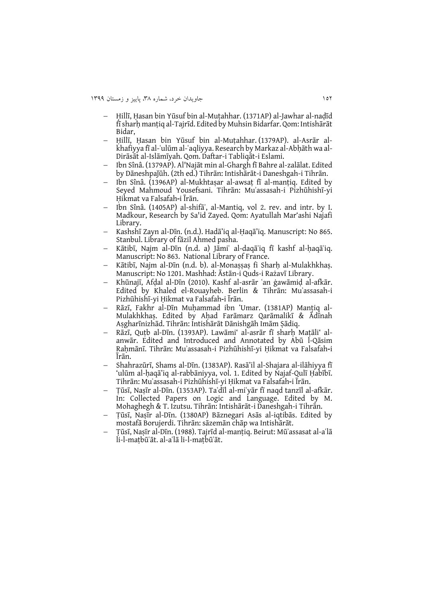- Ḥillī, Ḥasan bin Yūsuf bin al-Muṭahhar. (1371AP) al-Jawhar al-naḍīd fī sharḥ manṭiq al-Tajrīd. Edited by Muhsin Bidarfar. Qom: Intishārāt Bidar,
- Ḥillī, Ḥasan bin Yūsuf bin al-Muṭahhar. (1379AP). al-Asrār alkhafiyya fī al-ʿulūm al-ʿaqliyya. Research by Markaz al-Abḥāth wa al-Dirāsāt al-Islāmīyah. Qom. Daftar-i Tabliqāt-i Eslami.
- Ibn Sînâ. (1379AP). Al'Najāt min al-Ghargh fī Bahre al-zalālat. Edited by Dāneshpaǰūh. (2th ed.) Tihrān: Intishārāt-i Daneshgah-i Tihrān.
- Ibn Sînâ. (1396AP) al-Mukhtaṣar al-awsaṭ fī al-manṭiq. Edited by Seyed Mahmoud Yousefsani. Tihrān: Muʾassasah-i Pizhūhishī-yi Ḥikmat va Falsafah-i Īrān.
- Ibn Sînâ. (1405AP) al-shifāʾ, al-Mantiq, vol 2. rev. and intr. by I. Madkour, Research by Sa'id Zayed. Qom: Ayatullah Mar'ashi Najafi Library.
- Kashshī Zayn al-Dīn. (n.d.). Hadā'iq al-Ḥaqā'iq. Manuscript: No 865. Stanbul. Library of fāzil Ahmed pasha.
- Kātibī, Najm al-Dīn (n.d. a) Jāmiʿ al-daqāʾiq fī kashf al-ḥaqāʾiq. Manuscript: No 863. National Library of France.
- Kātibī, Najm al-Dīn (n.d. b). al-Monaṣṣaṣ fi Sharḥ al-Mulakhkhaṣ. Manuscript: No 1201. Mashhad: Āstān-i Quds-i Rażavī Library.
- Khūnajī, Afḍal al-Dīn (2010). Kashf al-asrār ʿan ġawāmiḍ al-afkār. Edited by Khaled el-Rouayheb. Berlin & Tihrān: Muʾassasah-i Pizhūhishī-yi Ḥikmat va Falsafah-i Īrān.
- Rāzī, Fakhr al-Dīn Muḥammad ibn ʻUmar. (1381AP) Manṭiq al-Mulakhkhaṣ. Edited by Aḥad Farāmarz Qarāmalikī & Ādīnah Aṣgharīnizhād. Tihrān: Intishārāt Dānishgāh Imām Ṣādiq.
- Rāzī, Quṭb al-Dīn. (1393AP). Lawāmi' al-asrār fī sharḥ Maṭāli' alanwār. Edited and Introduced and Annotated by Abū l-Qāsim Raḥmānī. Tihrān: Muʾassasah-i Pizhūhishī-yi Ḥikmat va Falsafah-i Īrān.
- Shahrazūrī, Shams al-Dīn. (1383AP). Rasā'il al-Shajara al-ilāhiyya fī 'ulūm al-ḥaqā'iq al-rabbāniyya, vol. 1. Edited by Najaf-Qulī Ḥabībī. Tihrān: Muʾassasah-i Pizhūhishī-yi Ḥikmat va Falsafah-i Īrān.
- Ṭūsī, Naṣīr al-Dīn. (1353AP). Taʿdīl al-miʿyār fī naqd tanzīl al-afkār. In: Collected Papers on Logic and Language. Edited by M. Mohaghegh & T. Izutsu. Tihrān: Intishārāt-i Daneshgah-i Tihrān.
- Ṭūsī, Naṣīr al-Dīn. (1380AP) Bāznegari Asās al-iqtibās. Edited by mostafā Borujerdi. Tihrān: sāzemān chāp wa Intishārāt.
- Ṭūsī, Naṣīr al-Dīn. (1988). Tajrīd al-manṭiq. Beirut: Mūʾassasat al-aʿlā li-l-maṭbūʿāt. al-aʿlā li-l-maṭbūʿāt.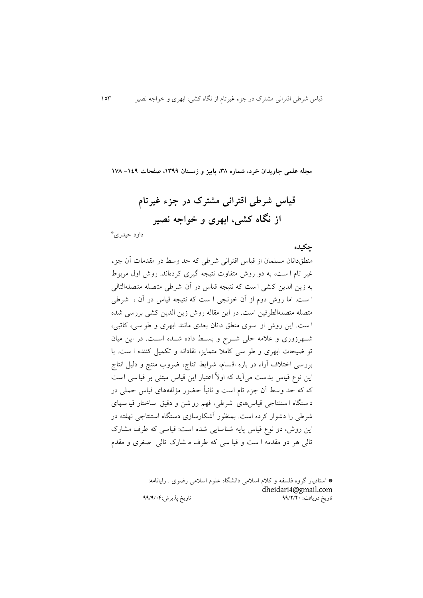**مجله علمی جاویدان خرد، شماره ،83 پاییز و زمستان ،9811 صفحات -941 973**

**قیاس شرطی اقترانی مشترک در جزء غیرتام از نگاه کشی، ابهری و خواجه نصیر**

\* داود حیدری

**چکیده**

منطقدانان مسلمان از قیاس اقترانی شرطی که حد وسط در مقدمات آن جزء غیر تام ا ست، به دو روش متفاوت نتیجه گیری کردهاند. روش اول مربوط به زين الدين ک شی است که نتیجه قیاس در آن شرطی متصله متصله التالی ا ست . اما روش دوم از آن خونجی ا ست که نتیجه قیاس در آن ، شرطی متصله متصلهالطرفین است. در اين مقاله روش زين الدين کشی بررسی شده ا ست . اين روش از سوی منطق دانان بعدی مانند ابهری و طو سی، کاتبی، شهرزوری و علامه حلی شوح و بسط داده شهده است. در اين ميان تو ضیحات ابهری و طو سی کامال متمايز، نقادانه و تکمیل کننده ا ست . با بررسی اختالف آراء در باره اقسام، شرايط انتاج، ضروب منتج و دلیل انتاج اين نوع قياس بدست می آيد که اولاً اعتبار اين قياس مبتنی بر قياسی است که که حد وسط آن جزء تام است و ثانیاً حضور مؤلفههای قیاس حملی در د ستگاه ا ستنتاجی قیاسهای شرطی، فهم رو شن و دقیق ساختار قیا سه ای شرطی را دشوار کرده است . بمنظور آشکارسازی دستگاه استنتاجی نهفته در اين روش، دو نوع قیاس پايه شناسايی شده است : قیاسی که طرف مشارک تالی هر دو مقدمه ا ست و قیا سی که طرف م شارک تالی صغری و مقدم

> \* استاديار گروه فلسفه و کالم اسالمی دانشگاه علوم اسالمی رضوی . رايانامه: [dheidari4@gmail.com](mailto:dheidari4@gmail.com) تاریخ دریافت: 99/0/02 تاریخ پذیرش99/9/20:

-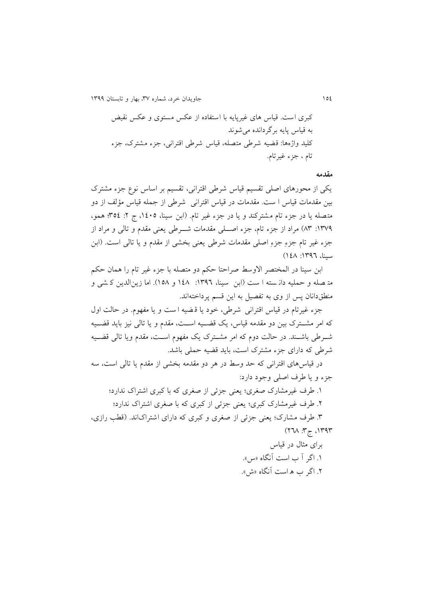051 جاويدان خرد، شماره ،83 بهار و تابستان 0811

کبری است . قیاس های غیرپايه با استفاده از عکس مستوی و عکس نقیض به قیاس پايه برگردانده میشوند کلید واژهها: قضیه شرطی متصله، قیاس شرطی اقترانی، جزء مشترک، جزء تام ، جزء غیرتام.

#### **مقدمه**

يکی از محورهای اصلی تقسیم قیاس شرطی اقترانی، تقسیم بر اساس نوع جزء مشترک بین مقدمات قیاس ا ست. مقدمات در قیاس اقترانی شرطی از جمله قیاس مؤلف از دو متصله يا در جزء تام مشترکند و يا در جزء غیر تام. )ابن سینا، ،0115 ج :1 851؛ همو، :0831 38( مراد از جزء تام، جزء اصههلی مقدمات شههرطی يعنی مقدم و تالی و مراد از جزء غیر تام جزء جزء اصلی مقدمات شرطی يعنی بخشی از مقدم و يا تالی است. ) ابن سینا، ١٣٩٦: ١٤٨)

ابن سینا در المختصر الاوسط صراحتا حکم دو متصله با جزء غیر تام را همان حکم مت صله و حمليه دان سته ا ست (ابن سينا، ١٣٩٦: ١٤٨ و ١٥٨). اما زين الدين ك شي و منطقدانان پس از وی به تفصیل به اين قسم پرداختهاند.

جزء غیرتام در قیاس اقترانی شرطی، خود يا ق ضیه ا ست و يا مفهوم. در حالت اول که امر مشــترک بین دو مقدمه قیاس، يک قضــيه اســت، مقدم و يا تالی نیز بايد قضــيه شـرطی باشـند. در حالت دوم که امر مشـترک يک مفهوم اسـت، مقدم ويا تالی قضـيه شرطی که دارای جزء مشترک است، بايد قضیه حملی باشد.

در قیاسهای اقترانی که حد وسط در هر دو مقدمه بخشی از مقدم يا تالی است، سه جزء و يا طرف اصلی وجود دارد:

.0 طرف غیرمشارک صغری؛ يعنی جزئی از صغری که با کبری اشتراک ندارد؛ .1 طرف غیرمشارک کبری؛ يعنی جزئی از کبری که با صغری اشتراک ندارد؛ ۴. طرف مشارک؛ يعنی جزئی از صغری و کبری که دارای اشتراک اند. (قطب رازی، ۱۳۹۳، ج<sup>4</sup>: ۲٦۸) برای مثال در قیاس

.0 اگر آ ب است آنگاه »س«. .1 اگر ب ه است آنگاه »ش«.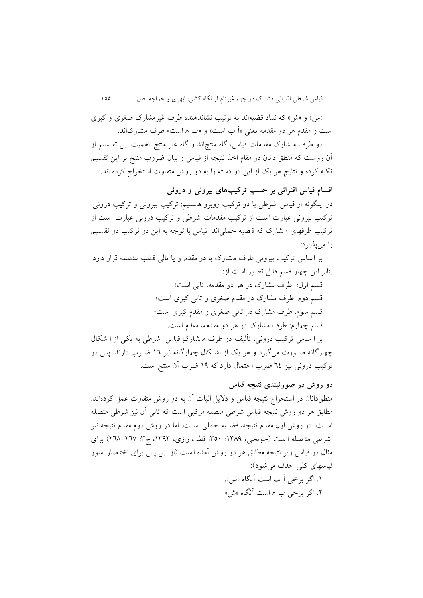»س« و »ش« که نماد قضیهاند به ترتیب نشاندهنده طرف غیرمشارک صغری و کبری است و مقدم هر دو مقدمه يعني «اّ ب است» و «ب ه است» طرف مشاركاند.

دو طرف م شارک مقدمات قیاس، گاه منتج|ند و گاه غیر منتج. اهمیت این تقـسیم از آن روست که منطق دانان در مقام اخذ نتیجه از قیاس و بیان ضروب منتج بر اين تقسیم تکیه کرده و نتايج هر يک از اين دو دسته را به دو روش متفاوت استخراج کرده اند.

**اقسام قیاس اقترانی بر حسب ترکیبهای بیرونی و درونی** در اينگونه از قیاس شرطی با دو ترکیب روبرو ه ستیم: ترکیب بیرونی و ترکیب درونی. ترکیب بیرونی عبارت است از ترکیب مقدمات شرطی و ترکیب درونی عبارت است از ترکیب طرفهای م شارک که ق ضیه حملی اند. قیاس با توجه به اين دو ترکیب دو تق سیم را میپذيرد:

بر اساس ترکیب بیرونی طر ف مشارک يا در مقدم و يا تالی قضیه متصله قرار دارد. بنابر اين چهار قسم قابل تصور است از:

> قسم اول: طرف مشارک در هر دو مقدمه، تالی است؛ قسم دوم: طرف مشارک در مقدم صغری و تالی کبری است؛ قسم سوم: طرف مشارک در تالی صغری و مقدم کبری است؛ قسم چهارم: طرف مشارک در هر دو مقدمه، مقدم است.

بر ا ساس ترکیب درونی، تألیف دو طرف م شارک قیاس شرطی به يکی از ا شکال چهارگانه صورت میگیرد و هر یک از اشکال چهارگانه نیز ١٦ ضـرب دارند. پس در ترکیب درونی نیز 11 ضرب احتمال دارد که 01 ضرب آن منتج است.

**دو روش در صورتبندی نتیجه قیاس**

منطقدانان در استخراج نتیجه قیاس و داليل اثبات آن به دو روش متفاوت عمل کردهاند. مطابق هر دو روش نتیجه قیاس شرطی متصله مرکبی است که تالی آن نیز شرطی متصله اسهت. در روش اول مقدم نتیجه، قضهیه حملی اسهت. اما در روش دوم مقدم نتیجه نیز شرطی متصله ا ست (خونجی، ۱۳۸۹: ۳۵۰؛ فطب رازی، ۱۳۹۳، ج۳: ۲۷۷–۲۱۸) برای مثال در قیاس زير نتیجه مطابق هر دو روش آمده ا ست )از اين پس برای اخت صار سور قیاسهای کلی حذف می شود): .0 اگر برخی آ ب است آنگاه »س«. .1 اگر برخی ب ه است آنگاه »ش«.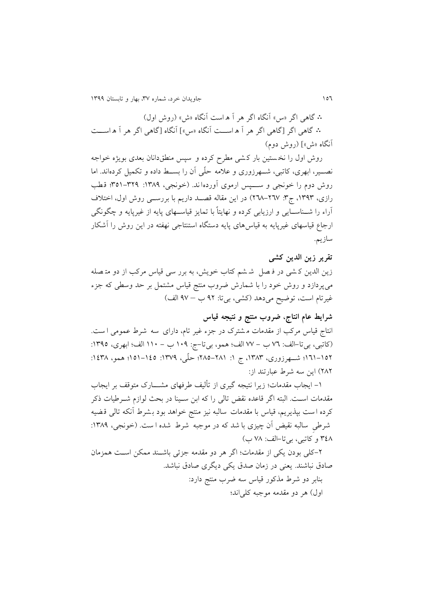051 جاويدان خرد، شماره ،83 بهار و تابستان 0811

∴ گاهی اگر »س« آنگاه اگر هر آ ه است آنگاه »ش« )روش اول( ∴ گاهی اگر ]گاهی اگر هر آ ه اسههت آنگاه »س«[ آنگاه ]گاهی اگر هر آ ه اسههت آنگاه «ش»] (روش دوم)

روش اول را نخ ستین بار ک شی مطر کرده و سپس منطق دانان بعدی بويژه خواجه نصـــیر، ابهری، کاتبی، شـــهرزوری و علامه حلّمی آن را بســـط داده و تکمیل کردهاند. اما روش دوم را خونجی و ســـپس ارموی آوردها ند. (خونجی، ١٣٨٩: ٣٢٩-٣٥١؛ قطب رازی، ۱۳۹۳، ج۳: ۲٦۷-۲٦۸) در اين مقاله قصـد داريم با بررســي روش اول، اختلاف آراء را شــناســايی و ارزيابی کرده و نهايتاً با تمايز قياســهای پايه از غيرپايه و چگونگی ارجاع قیاسهای غیرپايه به قیاس های پايه دستگاه استنتاجی نهفته در اين روش را آشکار سازيم.

# **تقریر زین الدین کشی** زين الدين ک شي در فـصل ً شـ شم کتاب خويش، به برر سي قياس مرکب از دو متـ صله میپردازد و روش خود را با شمارش ضروب منتج قیاس مشتمل بر حد وسطی که جزء غیرتام است، توضیح میدهد )کشی، بیتا: 11 ب – 13 الف(

**شرایط عام انتاج، ضروب منتج و نتیجه قیاس** انتاج قیاس مرکب از مقدمات مشترک در جزء غیر تام، دارای سه شرط عمومی ا ست. )کاتبی، بیتا-الف: 31 ب - 33 الف؛ همو، بیتا-ج: 011 ب - 001 الف؛ ابهری، :0815 01-111؛ شــهرزوری، ١٣٨٣، ج ١: ٢٨١-٢٨٥؛ حلَّى، ١٣٧٩: ١٤٥٥-١٥١؛ همو، ١٤٣٨: 131( اين سه شرط عبارتند از:

-0 ايجاب مقدمات؛ زيرا نتیجه گیری از تألیف طرفهای مشهههارک متوقف بر ايجاب مقدمات اسـت. البته اگر قاعده نقض تالی را که ابن سـینا در بحث لوازم شــرطیات ذکر کرده ا ست بپذيريم، قیاس با مقدمات سالبه نیز منتج خواهد بود ب شرط آنکه تالی ق ضیه شرطی سالبه نقیض آن چیزی با شد که در موجبه شرط شده ا ست. (خونجی، ۱۳۸۹: ۴٤٨ و کاتبی، بیتا-الف: ٧٨ ب)

-1کلی بودن يکی از مقدمات؛ اگر هر دو مقدمه جزئی باشهند ممکن اسهت همزمان صادق نباشند. يعنی در زمان صدق يکی ديگری صادق نباشد. بنابر دو شرط مذکور قیاس سه ضرب منتج دارد: اول) هر دو مقدمه موجبه کلی اند؛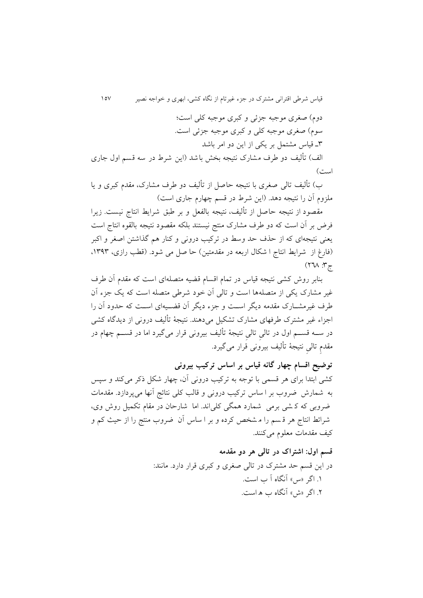قیاس شرطی اقترانی مشترک در جزء غیرتام از نگاه کشی، ابهری و خواجه نصیر 053 دوم) صغری موجبه جزئی و کبری موجبه کلی است؛ سوم) صغری موجبه کلی و کبری موجبه جزئی است. 8ه قیاس مشتمل بر يکی از اين دو امر باشد الف) تألیف دو طرف مشارک نتیجه بخش باشد (این شرط در سه قسم اول جاری است(

ب) تألیف تالی صغری با نتیجه حاصل از تألیف دو طرف مشارک، مقدم کبری و یا ملزوم آن را نتیجه دهد. (اين شرط در قسم چهارم جاری است)

مقصود از نتیجه حاصل از تألیف، نتیجه بالفعل و بر طبق شرایط انتاج نیست. زیرا فرض بر آن است که دو طرف مشارک منتج نیستند بلکه مقصود نتیجه بالقوه انتاج است يعنی نتیجهای که از حذف حد وسط در ترکیب درونی و کنار هم گذاشتن اصغر و اکبر (فارغ از شرایط انتاج ا شکال اربعه در مقدمتین) حا صل می شود. (قطب رازی، ۱۳۹۳.  $(77)$   $\frac{19}{5}$ 

بنابر روش کشی نتیجه قیاس در تمام اقسام قضیه متصلهای است که مقدم آن طرف غیر مشارک يکی از متصله ها است و تالی آن خود شرطی متصله است که يق جزء آن طرف غیرمشــارک مقدمه دیگر اســت و جزء دیگر آن قضــیهای اســت که حدود آن را اجزاء غیر مشترک طرفهای مشارک تشکیل میدهند. نتیجة تألیف درونی از ديدگاه کشی در ســه قســـم اول در تالی تالی نتیجهٔ تألیف بیرونی قرار میگیرد اما در قســـم چهام در مقدم تالیِ نتیجة تالیف بیرونی قرار می کیرد.

**توضیح اقسام چهار گانه قیاس بر اساس ترکیب بیرونی** کشی ابتدا برای هر قسمی با توجه به ترکیب درونی آن، چهار شکل کر میکند و سپس به شمارش ضروب بر ا ساس ترکیب درونی و قالب کلی نتائج آنها می پردازد. مقدمات ضروبی که ک شی برمی شمارد همگی کلی اند. اما شارحان در مقام تکمیل روش وی، شرائط انتاج هر ق سم را م شخص کرده و بر ا ساس آن ضروب منتج را از حیا کم و کیف مقدمات معلوم میکنند.

> **قسم اول: اشتراک در تالی هر دو مقدمه** در اين قسم حد مشترک در تالی صغری و کبری قرار دارد. مانند: .0 اگر »س« آنگاه آ ب است. .1 اگر »ش« آنگاه ب ه است.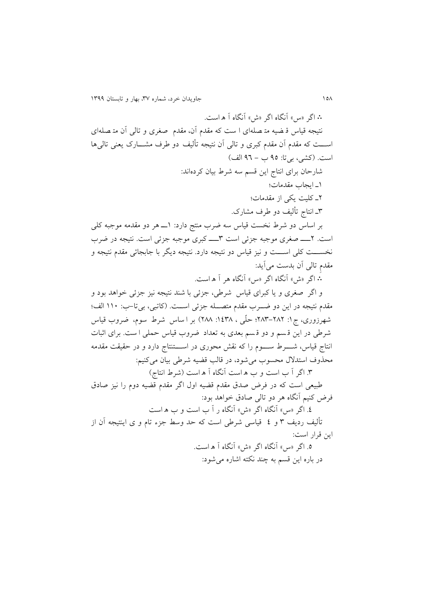∴ اگر »س« آنگاه اگر »ش« آنگاه آ ه است. نتیجه قیاس ق ضیه مت صله ای ا ست که مقدم آن، مقدم صغری و تا لی آن مت صله ای اســـت که مقدم آن مقدم کبری و تالی آن نتیجه تألیف دو طرف مشـــارک يعنی تالیٍها است. (کشی، بیتا: ۹۵ ب – ۹٦ الف) شارحان برای انتاج اين قسم سه شرط بیان کردهاند: 0ه ايجاب مقدمات؛ 1ه کلیت يکی از مقدمات؛ 8ه انتاج تألیف دو طرف مشارک. بر اساس دو شرط نخست قیاس سه ضرب منتج دارد: 0هه هر دو مقدمه موجبه کلی است. ۲ـــــ صغری موجبه جزئی است ۳ـــــــ کبری موجبه جزئی است. نتیجه در ضرب نخســـت کلی اســـت و نیز قیاس دو نتیجه دارد. نتیجه دیگر با جابجائی مقدم نتیجه و مقدم تالی آن بدست میآيد: ∴ اگر »ش« آنگاه اگر »س« آنگاه هر آ ه است. و اگر صغری و يا کبرای قیاس شرطی، جزئی با شند نتیجه نیز جزئی خواهد بود و مقدم نتیجه در این دو ضـــرب مقدم متصـــله جزئی اســت. (کاتبی، بی تا–ب: ١١٠ الف؛ شهرزوری، ج ۱: ۲۸۲–۲۸۳؛ حلّمی ، ۱۶۳۸: ۲۸۸) بر ا ساس شرط سوم، ضروب قیاس شرطی در اين ق سم و دو ق سم بعدی به تعداد ضروب قیاس حملی ا ست. برای اثبات انتاج قیاس، شــــرط ســـــوم را که نقش محوری در اســــتنتاج دارد و در حقیقت مقدمه محذوف استدالل محسوب میشود، در قالب قضیه شرطی بیان میکنیم: .8 اگر آ ب است و ب ه است آنگاه آ ه است )شرط انتاج( طبیعی است که در فرض صدق مقدم قضیه اول اگر مقدم قضیه دوم را نیز صادق فرض کنیم آنگاه هر دو تالی صادق خواهد بود: .1 اگر »س« آنگاه اگر »ش« آنگاه ر آ ب است و ب ه است تألیف رديف 8 و 1 قیاسی شرطی است که حد وسط جزء تام و ی اينتیجه آن از اين قرار است: .5 اگر »س« آنگاه اگر »ش« آنگاه آ ه است. در باره اين قسم به چند نکته اشاره میشود: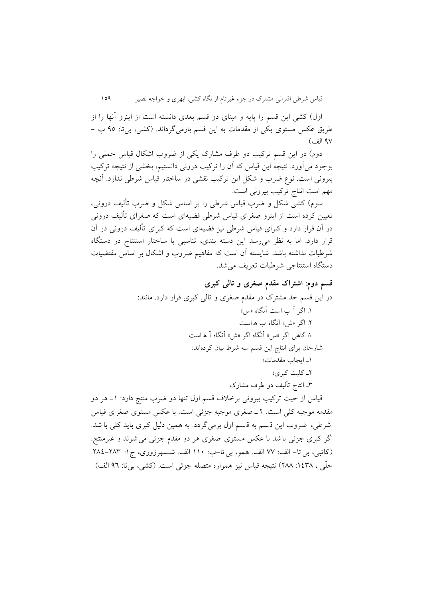اول) کشی اين قسم را پايه و مبنای دو قسم بعدی دانسته است از اينرو آنها را از طريق عکس مستوی يکی از مقدمات به اين قسم بازمیگرداند. )کشی، بیتا: 15 ب - ۹۷ الف)

دوم) در اين قسم ترکيب دو طرف مشارک يکی از ضروب اشکال قياس حملي را بوجود میآورد. نتیجه اين قیاس که آن را ترکیب درونی دانستیم، بخشی از نتیجه ترکیب بیرونی است. نوع ضرب و شکل اين ترکیب نقشی در ساختار قیاس شرطی ندارد. آنچه مهم است انتاج ترکیب بیرونی است.

سوم) کشی شکل و ضرب قیاس شرطی را بر اساس شکل و ضرب تألیف درونی، تعیین کرده است از اينرو صغرای قیاس شرطی قضیهای است که صغرای تألیف درونی در آن قرار دارد و کبرای قیاس شرطی نیز قضیهای است که کبرای تألیف درونی در آن قرار دارد. اما به نظر میرسد اين دسته بندی، تناسبی با ساختار استنتاج در دستگاه شرطیات نداشته باشد. شايسته آن است که مفاهیم ضروب و اشکال بر اساس مقتضیات دستگاه استنتاجی شرطیات تعريف میشد.

**قسم دوم: اشتراک مقدم صغری و تالی کبری** در اين قسم حد مشترک در مقدم صغری و تالی کبری قرار دارد. مانند: .0 اگر آ ب است آنگاه »س« ۲. اگر «ش» آنگاه ب ه است ∴ گاهی اگر »س« آنگاه اگر »ش« آنگاه آ ه است. شارحان برای انتاج اين قسم سه شرط بیان کردهاند: 0ه ايجاب مقدمات؛ 1ه کلیت کبری؛ 8ه انتاج تألیف دو طرف مشارک. قیاس از حیث ترکیب بیرونی برخلاف قسم اول تنها دو ضرب منتج دارد: ١\_هر دو مقدمه موجبه کلی است. 1 ه صغری موجبه جزئی است. با عکس مستوی صغرای قیاس شرطی، ضروب اين قسم به قسم اول برمی گردد. به همین دلیل کبری بايد کلی با شد. اگر کبری جزئی باشد با عکس مستوی صغری هر دو مقدم جزئی می شوند و غیرمنتج.

)کاتبی، بی تا - الف: 33 الف. همو، بیتا -ب: 001 الف. شههههرزوری، ج:0 .131-138 حلّی ، ۱٤٣٨: ٢٨٨) نتیجه قیاس نیز همواره متصله جزئی است. (کشی، بی تا: ٩٦ الف)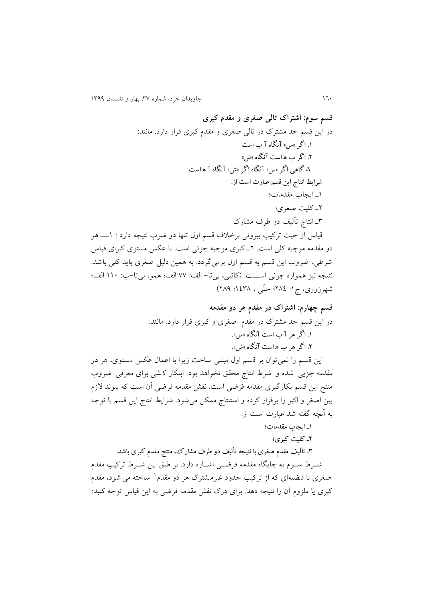**قسم سوم: اشتراک تالی صغری و مقدم کبری** در اين قسم حد مشترک در تالی صغری و مقدم کبری قرار دارد. مانند: .1 اگر »س« آنگاه آ ب است .0 اگر ب ه است آنگاه »ش« ∴ گاهی اگر »س« آنگاه اگر »ش« آنگاه آ ه است شرایط انتاج این قسم عبارت است از: 0ه ايجاب مقدمات؛ 1ه کلیت صغری؛ 8ه انتاج تألیف دو طرف مشارک قیاس از حیا ترکیب بیرونی برخالف قسم اول تنها دو ضرب نتیجه دارد : 0ههه هر دو مقدمه موجبه کلی است. 1ه کبری موجبه جزئی است. با عکس مستوی کبرای قیاس شرطی، ضروب اين قسم به قسم اول برمی گردد. به همین دلیل صغری بايد کلی باشد. نتیجه نیز همواره جزئی اسهههت. )کاتبی، بیتا- الف: 33 الف؛ همو، بیتا-ب: 001 الف؛ شهرزوری، ج:0 131 ؛ حل ی ، :0183 131( **قسم چهارم: اشتراک در مقدم هر دو مقدمه** در اين قسم حد مشترک در مقدم صغری و کبری قرار دارد. مانند: .1 اگر هر آ ب است آنگاه »س«. .0 اگر هر ب ه است آنگاه »ش«. اين قسم را نمیتوان بر قسم اول مبتنی ساخت زيرا با اعمال عکس مستوی، هر دو مقدمه جزيی شده و شرط انتاج محقق نخواهد بود. ابتکار ک شی برای معرفی ضروب منتج اين قسم بکارگیری مقدمه فرضی است. نقش مقدمه فرضی آن است که پیوند الزم بین اصغر و اکبر را برقرار کرده و استنتاج ممکن میشود. شرايط انتاج اين قسم با ت وجه به آنچه گفته شد عبارت است از: 1ـ ایجاب مقدمات؛ 0ـ کلیت کبری؛ 3ـ تألیف مقدم صغری با نتیجه تألیف دو طرف مشارک، منتج مقدم کبری باشد. شههرط سههوم به جايگاه مقدمه فرضههی اشههاره دارد. بر طبق اين شههرط ترکیب مقدم 0صغری با ق ضیه ای که از ترکیب حدود غیرم شترک هر دو مقدم ساخته می شود، مقدم

کبری يا ملزوم آن را نتیجه دهد. برای درک نقش مقدمه فرضی به اين قیاس توجه کنید: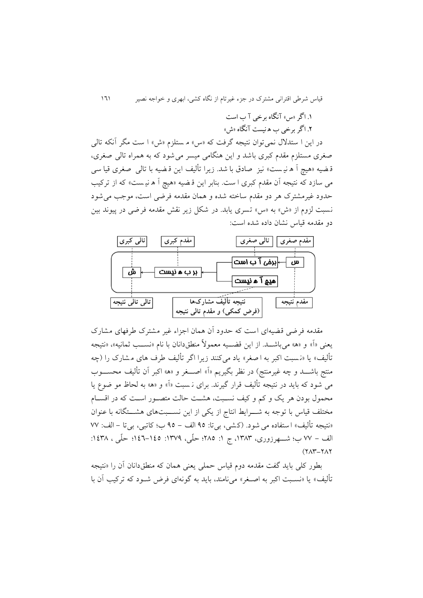قیاس شرطی اقترانی مشترک در جزء غیرتام از نگاه کشی، ابهری و خواجه نصیر 010

.1 اگر »س« آنگاه برخی آ ب است

.0 اگر برخی ب ه نیست آنگاه »ش«

در اين ا ستدالل نمی توان نتیجه گرفت که »س« م ستلزم »ش« ا ست مگر آنکه تالی صغری مستلزم مقدم کبری باشد و اين هنگامی میسر می شود که به همراه تالی صغری، قـضیه «هیچ آ ه نیـست» نیز صادق با شد. زیرا تألیف این قـضیه با تالی صغری قیا سی می سازد که نتیجه آن مقدم کبری ا ست. بنابر اين ق ضیه »هیچ آ ه نی ست « که از ترکیب حدود غیرمشترک هر دو مقدم ساخته شده و همان مقدمه فرضی است، موجب می شود نسبت لزوم از »ش« به »س« تسری يابد. در شکل زير نقش مقدمه فرضی در پیوند بین دو مقدمه قیاس نشان داده شده است:



مقدمه فرضی قضیه ای است که حدود آن همان اجزاء غیر مشترک طرفهای مشارک يعني «اً» و «ه» مي باشـــد. از اين قضـــيه معمولاً منطق۱انان با نام «نســب ثمانیه»، «نتیجه تألیف» یا «نسبت اکبر به ا صغر» یاد میکنند زیرا اگر تألیف طرف های مشارک را (چه منتج باشــــد و چه غیرمنتج) در نظر بگیریم «آ» اصــــغر و «ه» اکبر آن تألیف محســــوب می شود که بايد در نتیجه تألیف قرار گیرند. برای ن سبت »آ« و »ه« به لحاظ مو ضوع يا محمول بودن هر يک و کم و کيف نسـبت، هشـت حالت متصـور اسـت که در اقسـام مختلف قیاس با توجه به شـــرايط انتاج از يکی از اين نســــبتهای هشـــتگانه با عنوان «نتیجه تألیف» استفاده می شود. (کشی، بیتا: ۹۵ الف – ۹۵ ب؛ کاتبی، بیتا – الف: ۷۷ الف – ٧٧ ب؛ شـــهرزوری، ١٣٨٣، ج ١: ٢٨٥؛ حلَّى، ١٣٧٩: 1٤٥: حلَّى ، ١٤٣٨:  $(YAY-YAY)$ 

بطور کلی بايد گفت مقدمه دوم قیاس حملی يعنی همان که منطق دانان آن را »نتیجه تألیف» یا «نسـبت اکبر به اصـغر» میiامند، باید به گونهای فرض شـود که ترکیب آن با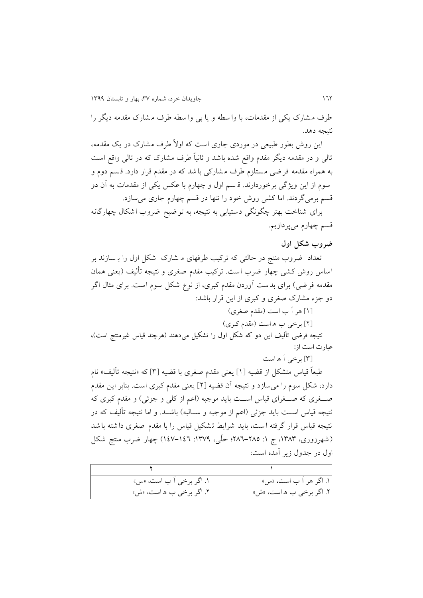طرف م شارک يکی از مقدمات، با وا سطه و يا بی وا سطه طرف م شارک مقدمه ديگر را نتیجه دهد.

 ً اين روش بطور طبیعی در موردی جاری است که اوال طرف مشارک در يق مقدمه، ً تالی و در مقدمه ديگر مقدم واقع شده باشد و ثانیا طرف مشارک که در تالی واقع است به همراه مقدمه فر ضی م ستلزم طرف م شارکی با شد که در مقدم قرار دارد. ق سم دوم و سوم از اين ويژگی برخوردارند. ق سم اول و چهارم با عکس يکی از مقدمات به آن دو قسم برمی گردند. اما کشی روش خود را تنها در قسم چهارم جاری می سازد. برای شناخت بهتر چگونگی دستیابی به نتیجه، به توضیح ضروب اشکال چهارگانه

قسم چهارم میپردازيم.

#### **ضروب شکل اول**

تعداد ضروب منتج در حالتی که ترکیب طرفهای م شارک شکل اول را ب سازند بر اساس روش کشی چهار ضرب است. ترکیب مقدم صغری و نتیجه تألیف )يعنی همان مقدمه فرضی) برای بدست آوردن مقدم کبری، از نوع شکل سوم است. برای مثال اگر دو جزء مشارک صغری و کبری از اين قرار باشد:

### ]0[ هر آ ب است )مقدم صغری(

]1[ برخی ب ه است )مقدم کبری(

نتیجه فرضی تألیف این دو که شکل اول را تشکیل میدهند (هرچند قیاس غیرمنتج است)، عبارت است از:

]8[ برخی آ ه است

 ً طبعا قیاس متشکل از قضیه ]0[ يعنی مقدم صغری با قضیه ]8[ که »نتیجه تألیف« نام دارد، شکل سوم را میسازد و نتیجه آن قضیه ]1[ يعنی مقدم کبری است. بنابر اين مقدم صهغری که صهغرای قیاس است بايد موجبه (اعم از کلی و جزئی) و مقدم کبری که نتیجه قیاس اســت بايد جزئی (اعم از موجبه و ســالبه) باشــد. و اما نتیجه تألیف که در نتیجه قیاس قرار گرفته ا ست، بايد شرايط ت شکیل قیاس را با مقدم صغری دا شته با شد (شهرزوری، ۱۳۸۳، ج ۱: ۲۸۵–۲۸٦؛ حلّی، ۱۳۷۹: ۱٤۷–۱٤۷) چهار ضرب منتج شکل اول در جدول زير آمده است:

| ۱. اگر برخی آ ب است، «س» | ۱. اگر هر آ ب است، «س»    |
|--------------------------|---------------------------|
| ۲. اگر برخی ب ه است، «ش» | ]۲. اگر برخی ب ه است، «ش» |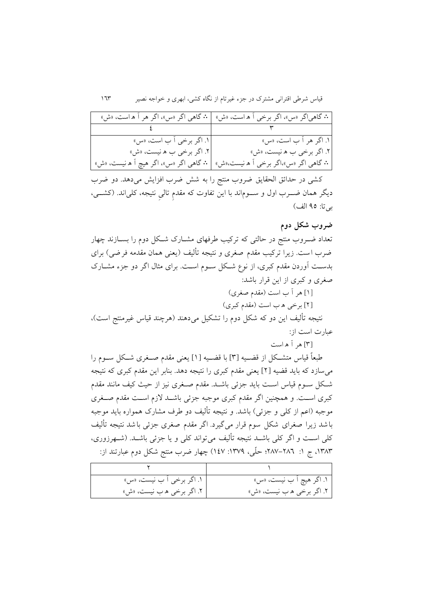|                                          | ۰۰ گاهیاگر «س»، اگر برخی آ ه است، «ش»   ۰۰ گاهی اگر «س»، اگر هر آ ه است، «ش»     |
|------------------------------------------|----------------------------------------------------------------------------------|
| the contract of the contract of the con- |                                                                                  |
| ۱. اگر برخی آ ب است، «س»                 | ۱. اگر هر آ ب است، «س»                                                           |
| ٢. اگر برخي ب ه نيست، «ش»                | ۲. اگر برخی ب ه نیست، «ش»                                                        |
|                                          | ·· گاهي اگر «س»،اگر برخي اَ ه نيست،«ش»   ·· گاهي اگر «س»، اگر هيچ اَ ه نيست، «ش» |

کشی در حدائق الحقايق ضروب منتج را به شش ضرب افزايش می دهد. دو ضرب ديگر همان ضـــرب اول و ســـوم|ند با اين تفاوت که مقدم تالی نتیجه، کلی|ند. (کشـــی، بیتا: ۹۵ الف)

**ضروب شکل دوم**

تعداد ضـروب منتج در حالتی که ترکیب طرفهای مشـارک شـکل دوم را بســازند چهار ضرب است. زیرا ترکیب مقدم صغری و نتیجه تألیف (یعنی همان مقدمه فرضی) برای بدسهت آوردن مقدم کبری، از نوع شهکل سهوم اسهت. برای مثال اگر دو جزء مشهارک صغری و کبری از اين قرار باشد: ]0[ هر آ ب است )مقدم صغری(

]1[ برخی ه ب است )مقدم کبری(

نتیجه تألیف این دو که شکل دوم را تشکیل میدهند (هرچند قیاس غیرمنتج است)، عبارت است از:

]8[ هر آ ه است

طبعاً قیاس متشـکل از قضــیه [۳] با قضــیه [۱] یعنی مقدم صــغری شــکل ســوم را میسازد که بايد قضیه ]1[ يعنی مقدم کبری را نتیجه دهد. بنابر اين مقدم کبری که نتیجه شکل سـوم قیاس اسـت بايد جزئی باشـد. مقدم صـغری نيز از حيث کيف مانند مقدم کبری اسـت. و همچنین اگر مقدم کبری موجبه جزئی باشـد لازم اسـت مقدم صــغری موجبه (اعم از کلی و جزئی) باشد. و نتيجه تأليف دو طرف مشارک همواره بايد موجبه باشد زيرا صغرای شکل سوم قرا ر میگیرد. اگر مقدم صغرم جزئی باشد نتیجه تألیف کلی اسـت و اگر کلی باشـد نتیجه تألیف میتواند کلی و یا جزئی باشـد. (شـهرزوری، ۱۳۸۳، ج ۱: ۲۸۲–۲۸۷؛ حلّی، ۱۳۷۹: ۱٤۷) چهار ضرب منتج شکل دوم عبارتند از:

| ۱. اگر برخی آ ب نیست، «س» | ۱. اگر هيچ آ ب نيست، «س»  |
|---------------------------|---------------------------|
| ۲. اگر برخي ه ب نيست، «ش» | ۲. اگر برخی ه ب نیست، «ش» |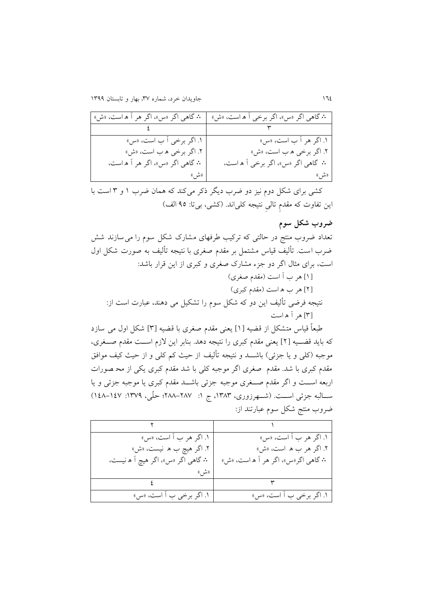| <b>۰</b> ۰ گاهي اگر «س»، اگر هر آ ه است، «ش» | <b>۰</b> ۰ گاهی اگر «س»، اگر برخی ۱ ه است، «ش» |
|----------------------------------------------|------------------------------------------------|
|                                              |                                                |
| ۱. اگر برخی أ ب است، «س»                     | ۱. اگر هر آ ب است، «س»                         |
| ۲. اگر برخي ه ب است، «ش»                     | ۲. اگر برخي ه ب است، «ش»                       |
| <b>:.</b> گاهي اگر «س»، اگر هر آ ه است،      | ۰۰ گاهی اگر «س»، اگر برخی آ ه است،             |
| «شر »                                        | «ش »                                           |

کشی برای شکل دوم نیز دو ضرب ديگر کر می کند که همان ضرب 0 و 8 است با این تفاوت که مقدم تالی نتیجه کلیاند. (کشی، بیتا: ۹۵ الف)

### **ضروب شکل سوم**

تعداد ضروب منتج در حالتی که ترکیب طرفهای مشارک شکل سوم را می سازند شش ضرب است. تألیف قیاس مشتمل بر مقدم صغرم با نتیجه تألیف به صورت ش کل اول است، برای مثال اگر دو جزء مشارک صغری و کبری از اين قرار باشد: ]0[ هر ب آ است )مقدم صغری( ]1[ هر ب ه است )مقدم کبری( نتیجه فرضی تألیف اين دو که شکل سوم را تشکیل می دهند، عبارت است از: ]8[ هر آ ه است

 ً طبعا قیاس متشکل از قضیه ] 0[ يعنی مقدم صغری با قضیه ] 8[ شکل اول می سازد که بايد قضـيه [۲] يعنی مقدم کبری را نتيجه دهد. بنابر اين لازم اسـت مقدم صــغری، موجبه (کلی و يا جزئی) باشـــد و نتيجه تألیف از حیث کم کلی و از حیث کیف موافق مقدم کبری با شد. مقدم صغری اگر موجبه کلی با شد مقدم کبری يکی از مح صورات اربعه اســت و اگر مقدم صــغری موجبه جزئی باشــد مقدم کبری يا موجبه جزئی و يا سه البه جزئی است. (شهرزوری، ۱۳۸۳، ج ۱: ۲۸۷–۲۸۸؛ حلّی، ۱۳۷۹: ۱٤۷–۱٤۸) ضروب منتج شکل سوم عبارتند از:

| ۱. اگر هر ب آ است، «س»                     | ۱. اگر هر ب آ است، «س»              |
|--------------------------------------------|-------------------------------------|
| ۲. اگر هيچ ب ه  نيست، «ش»                  | ۲. اگر هر ب ه است، «ش»              |
| <b>۰</b> ۰ گاهي اگر «س»، اگر هيچ آ ه نيست، | ۰۰ گاهي اگر«س»، اگر هر آ ه است، «ش» |
| ((مثل ))                                   |                                     |
|                                            |                                     |
| ۱. اگر برخی ب آ است، «س»                   | ۱. اگر برخی ب آ است، «س»            |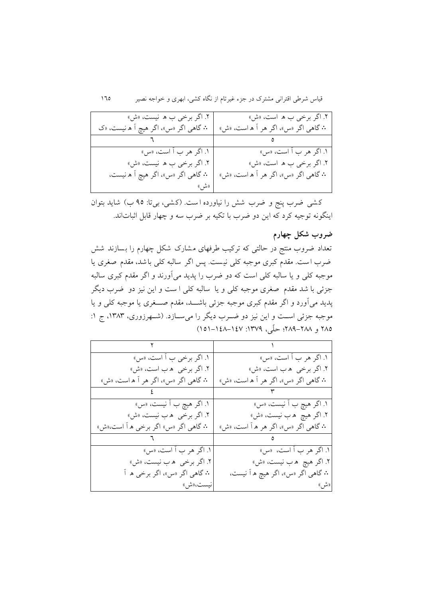| ۲. اگر برخی ب ه نیست، «ش»<br><b>۰</b> ۰ گاهی اگر «س»، اگر هیچ آ ه نیست، «ک | ۲. اگر برخی ب ه است، «ش»<br><b>۰۰</b> گاهي اگر «س»، اگر هر آ ه است، «ش» |
|----------------------------------------------------------------------------|-------------------------------------------------------------------------|
|                                                                            |                                                                         |
| ۱. اگر هر ب أ است، «س»                                                     | ۱. اگر هر ب آ است، «س»                                                  |
| ۲. اگر برخی ب ه نیست، «ش»                                                  | ۲. اگر برخی ب ه است، «ش»                                                |
| <b>۰</b> ۰ گاهي اگر «س»، اگر هيچ آ ه نيست،                                 | ۰۰ گاهي اگر «س»، اگر هر آ ه است، «ش»                                    |
| ((متىس))                                                                   |                                                                         |

کشی ضرب پنج و ضرب شش را نیاورده است. (کشی، بیتا: ۹۵ ب) شاید بتوان اينگونه توجیه کرد که اين دو ضرب با تکیه بر ضرب سه و چهار قابل اثباتاند.

### **ضروب شکل چهارم**

تعداد ضروب منتج در حالتی که ترکیب طرفهای مشارک شکل چهارم را بسازند شش ضرب است. مقدم کبرم موجبه کلی نیست. پس اگر سالبه کلی باشد، مقدم صغرم يا موجبه کلی و يا سالبه کلی است که دو ضرب را پديد می آورند و اگر مقدم کبرم سالب ه جزئی با شد مقدم صغری موجبه کلی و يا سالبه کلی ا ست و اين نيز دو ضرب ديگر پديد میآورد و اگر مقدم کبری موجبه جزئی باشـــد، مقدم صـــغری يا موجبه کلی و يا موجبه جزئی اسـت و اين نيز دو ضـرب ديگر را میسـازد. (شـهرزوری، ١٣٨٣، ج ١: 135 و ٢٨٨-١٤٨٩؛ حلّى، ١٣٧٩: ١٤٧-١٥١)

| ۱. اگر برخی ب آ است، «س»                      | ۱. اگر هر ب آ است، «س»                       |
|-----------------------------------------------|----------------------------------------------|
| ۲. اگر برخی  ه ب است، «ش»                     | ۲. اگر برخی  ه ب است، «ش»                    |
| <b>۰</b> ۰ گاهي اگر «س»، اگر هر آ ه است، «ش»  | <b>۰</b> ۰ گاهي اگر «س»، اگر هر آ ه است، «ش» |
|                                               |                                              |
| ۱. اگر هيچ ب آ نيست، «س»                      | ۱. اگر هيچ ب آ نيست، «س»                     |
| ۲. اگر برخی  ه ب نیست، «ش»                    | ۲. اگر هيچ  ه ب نيست، «ش»                    |
| ۰ <b>۰</b> گاهي اگر «س» اگر برخي ه اّ است،«ش» | <b>:.</b> گاهي اگر «س»، اگر هر ه آ است، «ش»  |
|                                               |                                              |
| ۱. اگر هر ب آ است، «س»                        | ۱. اگر هر ب آ است،  «س»                      |
| ۲. اگر برخی  ه ب نیست، «ش»                    | ۲. اگر هيچ  ه ب نيست، «ش»                    |
| <b>۰</b> ۰ گاهي اگر «س»، اگر برخي ه آ         | <b>۰</b> ۰ گاهي اگر «س»، اگر هيچ ه اّ نيست،  |
| انيست،«ش»                                     | «شر »                                        |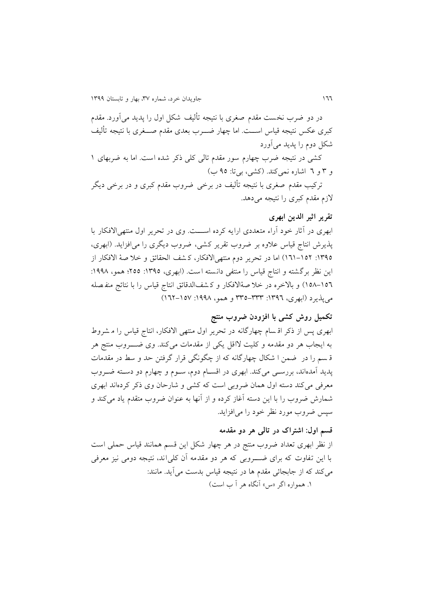در دو ضرب نخست مقدم صغری با نتیجه تألیف شکل اول را پديد می آورد. مقدم کبری عکس نتیجه قیاس اســت. اما چهار ضـــرب بعدی مقدم صـــغری با نتیجه تألیف شکل دوم را پديد میآورد

کشی در نتیجه ضرب چهارم سور مقدم تالی کلی کر شده است. اما به ضربهای 0 و ۳ و ٦ اشاره نمیکند. (کشی، بیتا: ٩٥ ب)

ترکیب مقدم صغری با نتیجه تألیف در برخی ضروب مقدم کبری و در برخی ديگر لازم مقدم کبری را نتیجه می دهد.

### **تقریر اثیر الدین ابهری**

ابهری در آثار خود آراء متعددی ارايه کرده اســـت. وی در تحرير اول منتهی الافکار با پذيرش انتاج قیاس عالوه بر ضروب تقرير کشی، ضروب ديگری را می افزايد. )ابهری، :0815 010-051( اما در تحرير دوم منتهیاالفکار، ک شف الحقائق و خال صة االفکار از اين نظر برگشته و انتاج قياس را منتفى دانسته است. (ابهرى، ١٣٩٥: ٢٥٥؛ همو، ١٩٩٨: 053-051( و باالخره در خال صة االفکار و ک شف الدقائق انتاج قیاس را با نتائج منف صله می پذيرد (ابهری، ١٣٩٦: ٣٣٣-٣٣٥ و همو، ١٩٩٨: ١٥٧-١٦٢)

# **تکمیل روش کشی با افزودن ضروب منتج**

ابهری پس از کر اق سام چهارگانه در تحرير اول منتهی االفکار، انتاج قیاس را م شروط به ايجاب هر دو مقدمه و کلیت الاقل يکی از مقدمات میکند. وی ضهههروب منتج هر ق سم را در ضمن ا شکال چهارگانه که از چگونگی قرار گرفتن حد و سط در مقدمات پديد آمدهاند، بررسهی میکند. ابهری در اقسهام دوم، سهوم و چهارم دو دسهته ضهروب معرفی میکند دسته اول همان ضروبی است که کشی و شارحان وی کر کردهاند ابهری شمارش ضروب را با اين دسته آغاز کرده و از آنها به عنوان ضروب متقدم ياد میکند و سپس ضروب مورد نظر خود را میافزايد.

### **قسم اول: اشتراک در تالی هر دو مقدمه**

از نظر ابهری تعداد ضروب منتج در هر چهار شکل اين قسم همانند قیاس حملی است با اين تفاوت که برای ضهههروبی که هر دو مقدمه آن کلیاند، نتیجه دومی نیز معرفی میکند که از جابجائی مقدم ها در نتیجه قیاس بدست میآيد. مانند: ۱. همواره اگر «س» آنگاه هر آ ب است)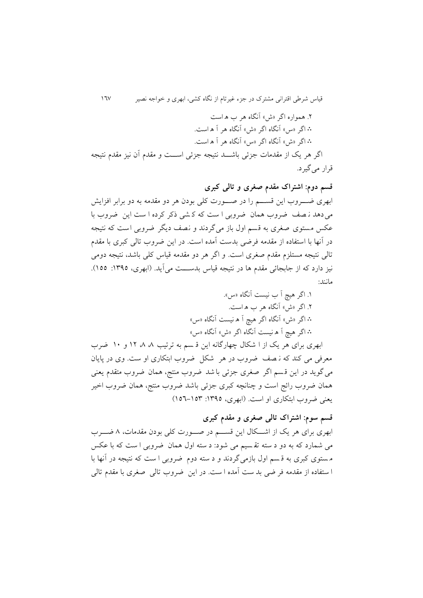.1 همواره اگر »ش« آنگاه هر ب ه است ∴ اگر »س« آنگاه اگر »ش« آنگاه هر آ ه است. ∴ اگر »ش« آنگاه اگر »س« آنگاه هر آ ه است.

اگر هر يک از مقدمات جزئی باشــد نتيجه جزئی اســت و مقدم آن نيز مقدم نتيجه قرار میگیرد.

**قسم دوم: اشتراک مقدم صغری و تالی کبری** ابهری ضــــروب اين قســـــم را در صـــــورت کلی بودن هر دو مقدمه به دو برابر افزايش میدهد ن صف ضروب همان ضروبی ا ست که ک شی کر کرده ا ست اين ضروب با عکس مستوی صغری به قسم اول باز می گردند و نصف ديگر ضروبی است که نتیجه در آنها با استفاده از مقدمه فرضی بدست آمده است. در اين ضروب تالی کبری با مقدم تالی نتیجه مستلزم مقدم صغری است. و اگر هر دو مقدمه قیاس کلی باشد، نتیجه دومی نیز دارد که از جابجائی مقدم ها در نتیجه قیاس بدســـت میآید. (ابهری، ١٣٩٥: ١٥٥). مانند:

> .0 اگر هیچ آ ب نیست آنگاه »س«. .1 اگر »ش« آنگاه هر ب ه است. ∴ اگر »ش« آنگاه اگر هیچ آ ه نیست آنگاه »س« ∴ اگر هیچ آ ه نیست آنگاه اگر »ش« آنگاه »س«

ابهری برای هر يک از ا شکال چهارگانه اين قسم به ترتيب ۸ ۸ ۱۲ و ۱۰ ضرب معرفی می کند که ن صف ضروب در هر شکل ضروب ابتکاری او ست. وی در پايان میگويد در اين ق سم اگر صغری جزئی با شد ضروب منتج، همان ضروب متقدم يعنی همان ضروب رائج است و چنانچه کبری جزئی باشد ضروب منتج، همان ضروب اخیر يعنی ضروب ابتکاری او است. (ابهری، ١٣٩٥: ١٥٣-١٥٦)

## **قسم سوم: اشتراک تالی صغری و مقدم کبری**

ابهری برای هر يک از اشكال اين قســم در صــورت کلی بودن مقدمات، ٨ ضـــرب می شمارد که به دو د سته تق سیم می شود: د سته اول همان ضروبی ا ست که با عکس م ستوی کبری به ق سم اول بازمی گردند و د سته دوم ضروبی ا ست که نتیجه در آنها با ا ستفاده از مقدمه فر ضی بد ست آمده ا ست. در اين ض روب تالی صغری با مقدم تالی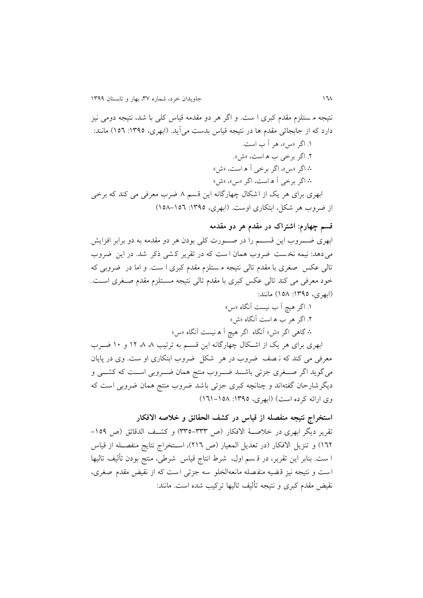نتیجه م ستلزم مقدم کبری ا ست. و اگر هر دو مقدمه قیاس کلی با شد، نتیجه دومی نیز دارد که از جابجائی مقدم ها در نتیجه قیاس بدست میآید. (ابهری، ١٣٩٥: ١٥٦) مانند: .0 اگر »س«، هر آ ب است. .1 اگر برخی ب ه است، »ش«. ∴ اگر »س«، اگر برخی آ ه است، »ش« ∴ اگر برخی آ ه است، اگر »س«، »ش« ابهری برای هر يک از اشکال چهارگانه اين قسم ۸ ضرب معرفی می کند که برخی از ضروب هر شکل، ابتکاری اوست. (ابهری، ١٣٩٥: ١٥٦–١٥٨)

#### **قسم چهارم: اشتراک در مقدم هر دو مقدمه**

ابهری ضـــــروب اين قســـــم را در صــــــورت کلی بودن هر دو مقدمه به دو برابر افزايش می دهد: نیمه نخست ضروب همان است که در تقریر کشی ذکر شد. در این ضروب تالی عکس صغری با مقدم تالی نتیجه م ستلزم مقدم کبری ا ست. و اما در ضروب ی که خود معرفی می کند تالی عکس کبری با مقدم تالی نتیجه مسهتلزم مقدم صهغری اسهت. )ابهری، 0815 : 053 ( مانند:

> .0 اگر هیچ آ ب نیست آنگاه »س« .1 اگر هر ب ه است آنگاه »ش« ∴ گاهی اگر »ش« آنگاه اگر هیچ آ ه نیست آنگاه »س«

ابهری برای هر يک از اشكال چهارگانه اين قسـم به ترتيب ۸ ۸ ۱۲ و ۱۰ ضـرب معرفی می کند که ن صف ضروب در هر شکل ضروب ابتکاری او ست. وی در پايان میگوید اگر صــغری جزئی باشــد ضــروب منتج همان ضــروبی اســت که کشــی و ديگرشارحان گفته اند و چنانچه کبری جزئی باشد ضروب منتج همان ضروبی است که وی ارائه کرده است) (ابهری، ۱۳۹۵: ۱۵۸–۱٦۱)

**استخراج نتیجه منفصله از قیاس در کشف الحقائق و خالصه االفکار** تقرير ديگر ابهري در خلاصــهٔ الافکار (ص ٣٣٣-٣٣٥) و کشــف الدقائق (ص ١٥٩-١٦٢) و تنزيل الافكار (در تعديل المعيار (ص ٢١٦)، استخراج نتايج منفصـله از قياس ا ست. بنابر اين تقرير، در ق سم اول، شرط انتاج قیاس شرطی، منتج بودن تألیف تالیها است و نتیجه نیز قـضیه منفـصله مانعهالخلو سه جزئی است که از نقیض مقدم صغری، نقیض مقدم کبری و نتیجه تألیف تالیها ترکیب شده است. مانند: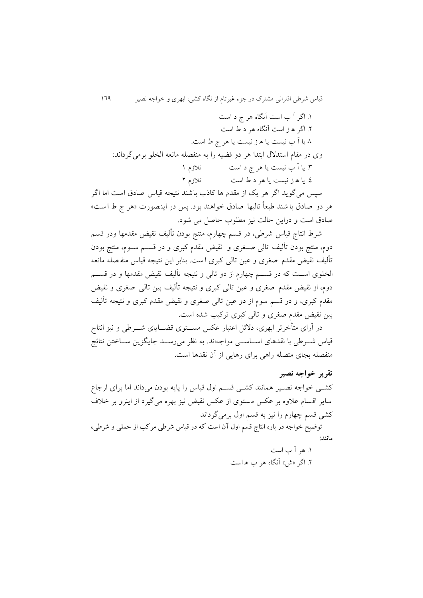قیاس شرطی اقترانی مشترک در جزء غیرتام از نگاه کشی، ابهری و خواجه نصیر 011

.0 اگر آ ب است آنگاه هر ج د است .1 اگر ه ز است آنگاه هر د ط است ∴ يا آ ب نیست يا ه ز نیست يا هر ج ط است. وی در مقام استدالل ابتدا هر دو قضیه را به منفصله مانعه الخلو برمیگرداند: .8 يا آ ب نیست يا هر ج د است تالزم 0 .1 يا ه ز نیست يا هر د ط است تالزم 1 سپس می گوید اگر هر یک از مقدم ها کاذب باشند نتیجه قیاس صادق است اما اگر هر دو صادق با شند طبعاً تالیها صادق خواهند بود. پس در اینصورت «هر ج ط ا ست» صادق است و دراين حالت نیز مطلوب حاصل می شود.

شرط انتاج قیاس شرطی، در قسم چهارم، منتج بودن تألیف نقیض مقدمها ودر قسم دوم، منتج بودن تألیف تالی صهغری و نقیض مقدم کبری و در قسهم سهوم، منتج بودن تألیف نقیض مقدم صغری و عین تالی کبری ا ست. بنابر اين نتیجه قیاس منف صله مانعه الخلوی اســت که در قســـم چهارم از دو تالی و نتیجه تألیف نقیض مقدمها و در قســـم دوم، از نقیض مقدم صغری و عین تالی کبری و نتیجه تألیف بین تالی صغری و نقیض مقدم کبری، و در قسم سوم از دو عین تالی صغری و نقیض مقدم کبری و نتیجه تألیف بین نقیض مقدم صغری و تالی کبری ترکیب شده است.

در آرای متأخرتر ابهری، دلائل اعتبار عکس مســـتوی قضـــایای شــــرطی و نیز انتاج قیاس شــرطی با نقدهای اســاســی مواجهاند. به نظر میرســد جايگزين ســاختن نتائج منفصله بجای متصله راهی برای رهايی از آن نقدها است.

#### **تقریر خواجه نصیر**

کشهی خواجه نصهیر همانند کشهی قسم اول قیاس را پایه بودن می داند اما برای ارجاع ساير اقسام عالوه بر عکس مستوی از عکس نقیض نیز بهره می گیرد از اينرو بر خالف کشی قسم چهارم را نیز به قسم اول برمیگرداند

توضیح خواجه در باره انتاج قسم اول آن است که در قیاس شرطی مرکب از حملی و شرطی، مانند:

> .0 هر آ ب است .1 اگر »ش« آنگاه هر ب ه است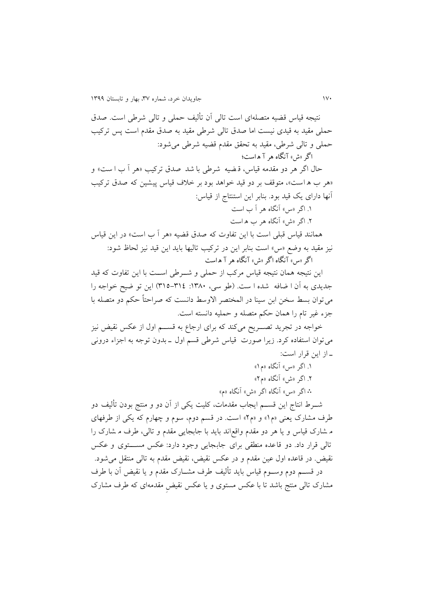نتیجه قیاس قضیه متصله ای است تالی آن تألیف حملی و تالی شرطی است. ص دق حملی مقید به قیدی نیست اما صدق تالی شرطی مقید به صدق مقدم است پس ترکیب حملی و تالی شرطی، مقید به تحقق مقدم قضیه شرطی میشود: اگر »ش« آنگاه هر آ ه است؛ حال اگر هر دو مقدمه قیاس، ق ضیه شرطی با شد صدق ترکیب »هر آ ب ا ست « و «هر ب ه است»، متوقف بر دو قید خواهد بود بر خلاف قیاس پیشین که صدق ترکیب آنها دارای يق قید بود. بنابر اين استنتاج از قیاس: .0 اگر »س« آنگاه هر آ ب است .1 اگر »ش« آنگاه هر ب ه است همانند قیاس قبلی است با اين تفاوت که صدق قضیه »هر آ ب است « در اين قیاس نیز مقید به وضع »س« است بنابر اين در ترکیب تالیها بايد اين قید نیز لحاظ شود: اگر »س« آنگاه اگر »ش« آنگاه هر آ ه است اين نتيجه همان نتيجه قياس مرکب از حملي و شـــرطی اســـت با اين تفاوت که قيد جديدی به آن ا ضافه شده ا ست. (طو سی، ١٣٨٠: ٣١٤-٣١٥) اين تو ضيح خواجه را می توان بسط سخن ابن سینا در المختصر الاوسط دانست که صراحتاً حکم دو متصله با جزء غیر تام را همان حکم متصله و حملیه دانسته است. خواجه در تجريد تصـــريح میکند که برای ارجاع به قســـم اول از عکس نقیض نیز میتوان استفاده کرد. زيرا صورت قیاس شرطی قسم اول ه بدون توجه به اجزاء درونی ه از اين قرار است: .0 اگر »س« آنگاه »م0« .1 اگر »ش« آنگاه »م1« ∴ اگر »س« آنگاه اگر »ش« آنگاه »م« شههرط انتاج اين قسههم ايجاب مقدمات، کلیت يکی از آن دو و منتج بودن تألیف دو طرف مشارک يعنی »م0« و »م1« است. در قسم دوم، سوم و چهارم که يکی از طرفهای م شارک قیاس و يا هر دو مقدم واقع اند بايد با جابجايی مقدم و تالی، طرف م شارک را تالی قرار داد. دو قاعده منطقی برای جابجایی وجود دارد: عکس مســـتوی و عکس نقیض. در قاعده اول عین مقدم و در عکس نقیض، نقیض مقدم به تالی منتقل میشود. در قســـم دوم وســـوم قیاس بايد تألیف طرف مشـــارک مقدم و يا نقیض آن با طرف مشارک تالی منتج باشد تا با عکس مستوی و يا عکس نقیض مقدمهای که طرف مشارک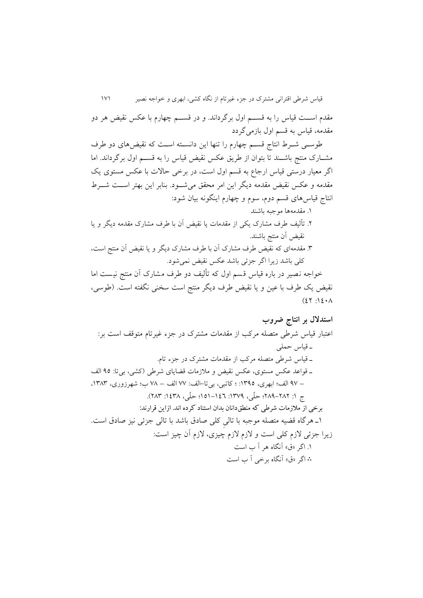قیاس شرطی اقترانی مشترک در جزء غیرتام از نگاه کشی، ابهری و خواجه نصیر 030 مقدم اســت قیاس را به قســـم اول برگرداند. و در قســـم چهارم با عکس نقیض هر دو مقدمه، قیاس به قسم اول بازمیگردد

طوسمی شـرط انتاج قسـم چهارم را تنها اين دانسـته اسـت که نقیضهای دو طرف مشهارک منتج باشهند تا بتوان از طريق عکس نقیض قیاس را به قسهم اول برگرداند. اما اگر معیار درستی قیاس ارجاع به قسم اول است، در برخی حاالت با عکس مستوی يق مقدمه و عکس نقیض مقدمه ديگر اين امر محقق میشـود. بنابر اين بهتر اســت شـــرط انتاج قیاسهای قسم دوم، سوم و چهارم اينگونه بیان شود:

.0 مقدمهها موجبه باشند

- .1 تألیف طرف مشارک يکی از مقدمات يا نقیض آن با طرف مشارک مقدمه ديگر و يا نقیض آن منتج باشند.
- .8 مقدمهای که نقیض طرف مشارک آن با طرف مشارک ديگر و يا نقیض آن منتج است، کلی باشد زيرا اگر جزئی باشد عکس نقیض نمیشود.

خواجه نصیر در باره قیاس قسم اول که تألیف دو طرف مشارک آن منتج نیست اما نقیض يک طرف با عین و يا نقیض طرف ديگر منتج است سخنی نگفته است. (طوسی،  $(2Y_i)\$ 

**استدالل بر انتاج ضروب**  اعتبار قیاس شرطی متصله مرکب از مقدمات مشترک در جزء غیرتام متوقف است بر: ه قیاس حملی ه قیاس شرطی متصله مرکب از مقدمات مشترک در جزء تام. ه قواعد عکس مستوی، عکس نقیض و مالزمات قضايای شرطی )کشی، بیتا: 15 الف – 13 الف؛ ابهری، :0815 ؛ کاتبی، بیتا-الف: 33 الف – 33 ب؛ شهرزوری، ،0838 ج :0 131-131؛ حل ی، :0831 050-011؛ حل ی، :0183 138(. برخی از مالزمات شرطی که منطقدانان بدان استناد کرده اند. ازاین قرارند: 0 ه هرگاه قضیه متصله موجبه با تالی کلی صادق باشد با تالی جزئی نیز صادق است. زيرا جزئی الزم کلی است و الزم الزم چیزی، الزم آن چیز است: .0 اگر »ق« آنگاه هر آ ب است ∴ اگر »ق« آنگاه برخی آ ب است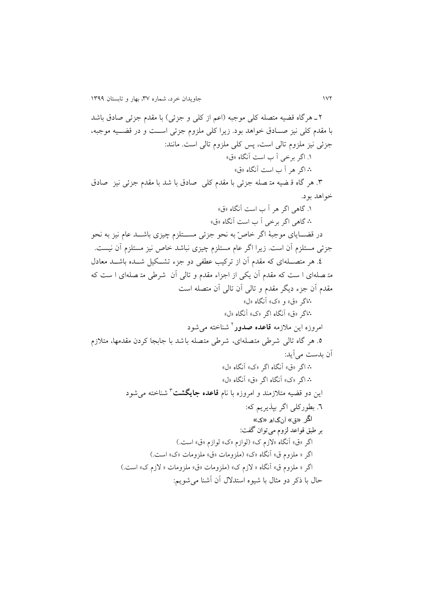۲ ـ هرگاه قضیه متصله کلی موجبه (اعم از کلی و جزئی) با مقدم جزئی صادق باشد با مقدم کلی نیز صـادق خواهد بود. زیرا کلی ملزوم جزئی اســت و در قضــیه موجبه، جزئی نیز ملزوم تالی است، پس کلی ملزوم تالی است. مانند: .0 اگر برخی آ ب است آنگاه »ق« ∴ اگر هر آ ب است آنگاه »ق« .8 هر گاه ق ضیه مت صله جزئی با مقدم کلی صادق با شد با مقدم جزئی نیز صادق خواهد بود. .0 گاهی اگر هر آ ب است آنگاه »ق« ∴ گاهی اگر برخی آ ب است آنگاه »ق« در قضـــایای موجبهٔ اگر خاصّ به نحو جزئی مســـتلزم چیزی باشـــد عام نیز به نحو جزئی مستلزم آن است. زيرا اگر عام مستلزم چیزی نباشد خاص نیز مستلزم آن نیست. ٤. هر متصـــلهای که مقدم آن از ترکیب عطفی دو جزء تشــکیل شـــده باشـــد معادل مت صله ای ا ست که مقدم آن يکی از اجزاء مقدم و تالی آن شرطی مت صله ای ا ست که مقدم آن جزء ديگر مقدم و تالی آن تالی آن متصله است ∴اگر »ق« و »ک« آنگاه »ل« ∴اگر »ق« آنگاه اگر »ک« آنگاه »ل« مروزه این ملازمه **قاعده صدور** <sup>1</sup> شناخته میشود ۵. هر گاه تالی شرطی متصلهای، شرطی متصله باشد با جابجا کردن مقدمها، متلازم آن بدست میآيد: ∴ اگر »ق« آنگاه اگر »ک« آنگاه »ل« ∴ اگر »ک« آنگاه اگر »ق« آنگاه »ل« 8 اين دو قضیه متالزمند و امروزه با نام **قاعده جایگشت** شناخته میشود .1 بطورکلی اگر بپذيريم که: اگر «ق» آنگاھ «ک» بر طبق قواعد لزوم میتوان گفت: اگر «ق» آنگاه «لازم ک» (لوازم «ک» لوازم «ق» است.) اگر « ملزوم ق» آنگاه «ک» (ملزومات «ق» ملزومات «ک» است.) اگر « ملزوم ق» آنگاه « لازم ک» (ملزومات «ق» ملزومات « لازم ک» است.) حال با کر دو مثال با شیوه استدالل آن آشنا میشويم: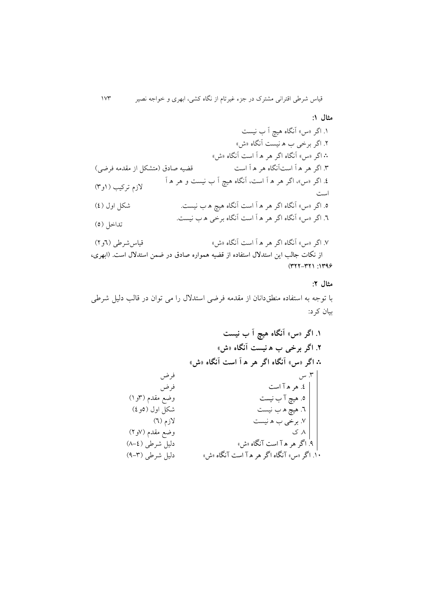قیاس شرطی اقترانی مشترک در جزء غیرتام از نگاه کشی، ابهری و خواجه نصیر 038

**مثال :9** 

.0 اگر »س« آنگاه هیچ آ ب نیست .1 اگر برخی ب ه نیست آنگاه »ش« ∴ اگر »س« آنگاه اگر هر ه آ است آنگاه »ش« .8 اگر هر ه آ استآنگاه هر ه آ است قضیه صادق )متشکل از مقدمه فرضی( .1 اگر »س«، اگر هر ه آ است، آنگاه هیچ آ ب نیست و هر ه آ است الزم ترکیب )0و8( .5 اگر »س« آنگاه اگر هر ه آ است آنگاه هیچ ه ب نیست. شکل اول )1( .1 اگر »س« آنگاه اگر هر ه آ است آنگاه برخی ه ب نیست. تداخل )5( .3 اگر »س« آنگاه اگر هر ه آ است آنگاه »ش« قیاسشرطی )1و1(

از نکات جالب این استدالل استفاده از قضیه همواره صادق در ضمن استدالل است. )ابهری،  $(YYY-YY)$ : 1399

#### **مثال :2**

با توجه به استفاده منطق دانان از مقدمه فرضی استدالل را می توان در قالب دلیل شرطی بیان کرد:

**.9 اگر »س« آنگاه هیچ آ ب نیست .2 اگر برخی ب ه نیست آنگاه »ش«** ∴ **اگر »س« آنگاه اگر هر ه آ است آنگاه »ش«** .8 س فرض .1 هره آ است .5 هیچ آ ب نیست .1 هیچ ه ب نیست .3 برخی ب ه نیست .3 ک فرض وضع مقدم )8و0( شکل اول )5و1( الزم )1( وضع مقدم )3و1( .1 اگر هره آ است آنگاه »ش« دلیل شرطی )3-1( .01 اگر»س« آنگاه اگر هره آ است آنگاه »ش« دلیل شرطی )1-8(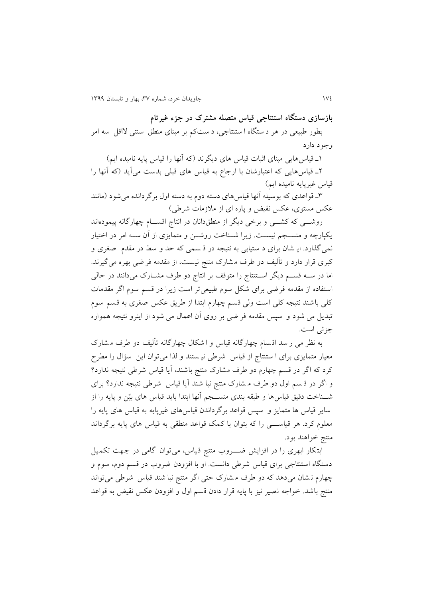**بازسازی دستگاه استنتاجی قیاس متصله مشترک در جزء غیرتام** بطور طبیعی در هر د ستگاه ا ستنتاجی، د ست کم بر مبنای منطق سنتی الاقل سه امر وجود دارد

0ه قیاسهايی مبنای اثبات قیاس های ديگرند )که آنها را قیاس پايه نامیده ايم( 1ه قیاسهايی که اعتبارشان با ارجاع به قیاس های قبلی بدست میآيد )که آنها را قیاس غیرپایه نامیده ایم)

8ه قواعدی که بوسیله آنها قیاسهای دسته دوم به دسته اول برگردانده میشود )مانند عکس مستوی، عکس نقیض و پاره ای از مالزمات شرطی(

روشــــی که کشـــــی و برخی دیگر از منطق۱دانان در انتاج اقســـام چهارگانه پیمودهاند يکپارچه و منســجم نيســت. زيرا شــناخت روشــن و متمايزی از آن ســه امر در اختيار نمیگذارد. اي شان برای د ستیابی به نتیجه در ق سمی که حد و سط در مقدم صغری و کبری قرار دارد و تألیف دو طرف م شارک منتج نی ست، از مقدمه فر ضی بهره می گیرند. اما در سهه قسهم ديگر اسهتنتاج را متوقف بر انتاج دو طرف مشهارک میدانند در حالی استفاده از مقدمه فرضی برای شکل سوم طبیعی تر است زيرا در قسم سوم اگر مقدمات کلی باشند نتیجه کلی است ولی قسم چهارم ابتدا از طريق عکس صغری به قسم سوم تبديل می شود و سپس مقدمه فر ضی بر روی آن اعمال می شود از اينرو نتیجه همواره جزئی است.

به نظر می ر سد اق سام چهارگانه قیاس و ا شکال چهارگانه تألیف دو طرف م شارک معیار متمايزی برای ا ستنتاج از قیاس شرطی نی ستند و لذا می توان اين سؤال را مطر کرد که اگر در قسم چهارم دو طرف مشارک منتج باشند، آيا قیاس شرطی نتیجه ندارد؟ و اگر در ق سم اول دو طرف م شارک منتج نبا شند آيا قیاس شرطی نتیجه ندارد؟ برای شــناخت دقیق قیاس ها و طبقه بندی منســجم آنها ابتدا باید قیاس های بیّن و پایه را از ساير قیاس ها متمايز و سپس قواعد برگرداندن قیاس های غیرپايه به قیاس های پايه را معلوم کرد. هر قیاســــی را که بتوان با کمک قواعد منطقی به قیاس های پایه برگرداند منتج خواهند بود.

ابتکار ابهری را در افزايش ضهروب منتج قياس، می توان گامی در جهت تکميل دستگاه استنتاجی برای قیاس شرطی دانست. او با افزودن ضروب در قسم دوم، سوم و چهارم ن شان می دهد که دو طرف م شارک حتی اگر منتج نبا شند قیاس شرطی می تواند منتج باشد. خواجه نصیر نیز با پايه قرار دادن قسم اول و افزودن عکس نقیض به قواعد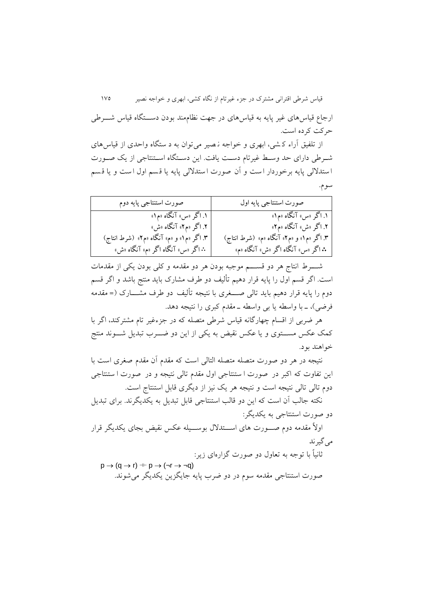قیاس شرطی اقترانی مشترک در جزء غیرتام از نگاه کشی، ابهری و خواجه نصیر 035

ارجاع قیاس های غیر پایه به قیاس های در جهت نظاممند بودن دســـتگاه قیاس شــــرطی حرکت کرده است.

از تلفیق آراء ک شی، ابهری و خواجه ن صیر می توان به د ستگاه واحدی از قیاس های شهرطی دارای حد وسهط غیرتام دسهت يافت. اين دسهتگاه اسهتنتاجی از يق صهورت ا ستداللی پايه برخوردار ا ست و آن صورت ا ستداللی پايه يا ق سم اول ا ست و يا ق سم سوم.

| صورت استنتاجي پايه دوم                                              | صورت استنتاجي پايه اول                                            |
|---------------------------------------------------------------------|-------------------------------------------------------------------|
| ۱. اگر «س» آنگاه «م۱»                                               | ۱. اگر «س» آنگاه «م۱»                                             |
| ۲. اگر «م۲» آنگاه «ش»<br>۳. اگر «م ۱» و «م» آنگاه «م۲»  (شرط انتاج) | ۲. اگر «ش» آنگاه «م۲»<br>۳. اگر «م۱» و «م۲» آنگاه «م» (شرط انتاج) |
| ∴ اگر «س» آنگاه اگر «م» آنگاه «ش»                                   | ۰ <b>۰</b> اگر «س» آنگاه اگر «ش» آنگاه «م»                        |

شهههرط انتاج هر دو قسهههم موجبه بودن هر دو مقدمه و کلی بودن يکی از مقدمات است. اگر قسم اول را پايه قرار دهیم تألیف دو طرف مشارک بايد منتج باشد و اگر قسم دوم را پايه قرار دهيم بايد تالی صــــغری با نتيجه تألیف دو طرف مشــــارک (= مقدمه فرضی)، ــ با واسطه يا بی واسطه ــ مقدم کبری را نتيجه دهد.

هر ضربی از اقسام چهارگانه قیاس شرطی متصله که در جزءغیر تام مشترکند، اگر با کمک عکس مســـتوی و يا عکس نقيض به يکی از اين دو ضـــرب تبديل شــــوند منتج خواهند بود.

نتیجه در هر دو صورت متصله متصله التالی است که مقدم آن مقدم صغری است با اين تفاوت که اکبر در صورت ا ستنتاجی اول مقدم تالی نتیجه و در صورت ا ستنتاجی دوم تالی تالی نتیجه است و نتیجه هر يق نیز از ديگری قابل استنتاج است.

نکته جالب آن است که اين دو قالب استنتاجی قابل تبديل به يکديگرند. برای تبديل دو صورت استنتاجی به يکديگر:

اولاً مقدمه دوم صـــورت های اســـتدلال بوســـيله عکس نقیض بجای يکديگر قرار می گیرند

 ً ثانیا با توجه به تعاول دو صورت گزارهای زير:  $p \rightarrow (q \rightarrow r) \dashv P \rightarrow (\neg r \rightarrow \neg q)$ صورت استنتاجی مقدمه سوم در دو ضرب پايه جايگزين يکديگر میشوند.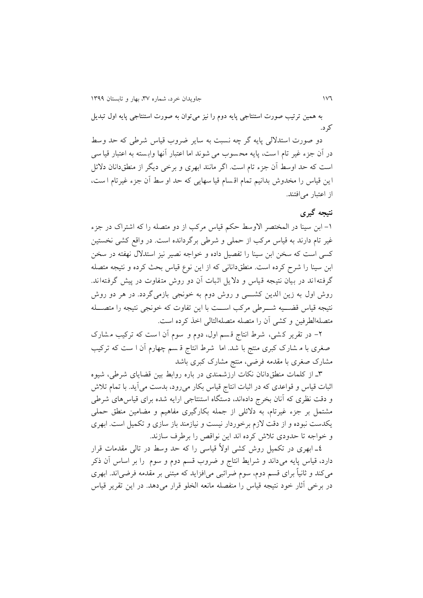به همین ترتیب صورت استنتاجی پایه دوم را نیز میتوان به صورت استنتاجی پایه اول تبدیل کرد.

دو صورت استدلالی پايه گر چه نسبت به ساير ضروب قياس شرطي که حد وسط در آن جزء غیر تام ا ست، پایه محسوب می شوند اما اعتبار آنها وابسته به اعتبار قیا سی است که حد اوسط آن جزء تام است. اگر مانند ابهری و برخی ديگر از منطقدانان دالئل اين قیاس را مخدوش بدانیم تمام اق سام قیا سهايی که حد او سط آن جزء غیرتام ا ست، از اعتبار میافتند.

### **نتیجه گیری**

-0 ابن سینا در المختصر االوسط حکم قیاس مرکب از دو متصله را که اشتراک در جزء غیر تام دارند به قیاس مرکب از حملی و شرطی برگردانده است. در واقع کشی نخستین کسی است که سخن ابن سینا را تفصیل داده و خواجه نصیر نیز استدالل نهفته در سخن ابن سينا را شرح كرده است. منطقدانانی كه از اين نوع قياس بحث كرده و نتيجه متصله گرفته اند در بیان نتیجه قیاس و داليل اثبات آن دو روش متفاوت در پیش گرفته اند. روش اول به زين الدين کشــــی و روش دوم به خونجی بازمی گردد. در هر دو روش نتیجه قیاس قضـــیه شــــرطی مرکب اســـت با این تفاوت که خونجی نتیجه را متصـــله متصلهالطرفین و کشی آن را متصله متصلهالتالی اخذ کرده است.

-1 در تقرير ک شی، شرط انتاج ق سم اول، دوم و سوم آن ا ست که ترکیب م شارک صغری با م شار ک کبری منتج با شد. اما شرط انتاج ق سم چهارم آن ا ست که ترکیب مشارک صغری با مقدمه فرضی، منتج مشارک کبری باشد

8ه از کلمات منطقدانان نکات ارزشمندی در باره روابط بین قضايای شرطی، شیوه اثبات قیاس و قواعدی که در اثبات انتاج قیاس بکار میرود، بدست میآيد. با تمام تالش و دقت نظری که آنان بخرج دادهاند، دستگاه استنتاجی ارايه شده برای قیاسهای شرطی مشتمل بر جزء غیرتام، به دالئلی از جمله بکارگیری مفاهیم و مضامین منطق حملی يکدست نبوده و از دقت الزم برخوردار نیست و نیازمند باز سازی و تکمیل است. ابهری و خواجه تا حدودی تالش کرده اند اين نواقص را برطرف سازند.

1 ً ه ابهری در تکمیل روش کشی اوال قیاسی را که حد وسط در تالی مقدمات قرار دارد، قیاس پايه میداند و شرايط انتاج و ضروب قسم دوم و سوم را بر اساس آن کر می ً کند و ثانیا برای قسم دوم، سوم ضرائبی میافزايد که مبتنی بر مقدمه فرضیاند. ابهری در برخی آثار خود نتیجه قیاس را منفصله مانعه الخلو قرار میدهد. در اين تقرير قیاس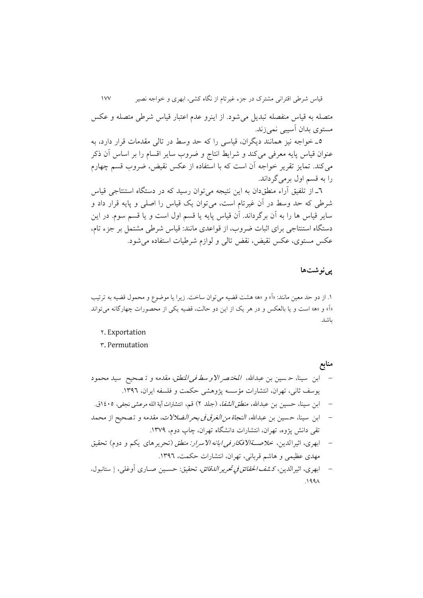قیاس شرطی اقترانی مشترک در جزء غیرتام از نگاه کشی، ابهری و خواجه نصیر 033

متصله به قیاس منفصله تبديل میشود. از اينرو عدم اعتبار قیاس شرطی متصله و عکس مستوی بدان آسیبی نمیزند.

5ه خواجه نیز همانند ديگران، قیاسی را که حد وسط در تالی مقدمات قرار دارد، به عنوان قیاس پايه معرفی میکند و شرايط انتاج و ضروب ساير اقسام را بر اساس آن کر میکند. تمايز تقرير خواجه آن است که با استفاده از عکس نقیض، ضروب قسم چهارم را به قسم اول برمیگرداند.

1ه از تلفیق آراء منطقدان به اين نتیجه میتوان رسید که در دستگاه استنتاجی قیاس شرطی که حد وسط در آن غیرتام است، میتوان يق قیاس را اصلی و پايه قرار داد و ساير قیاس ها را به آن برگرداند. آن قیاس پايه يا قسم اول است و يا قسم سوم. در اين دستگاه استنتاجی برای اثبات ضروب، از قواعدی مانند: قیاس شرطی مشتمل بر جزء تام، عکس مستوی، عکس نقیض، نقض تالی و لوازم شرطیات استفاده میشود.

#### **پینوشتها**

۱. از دو حد معین مانند: «آ» و «ه» هشت قضیه میتوان ساخت. زیرا یا موضوع و محمول قضیه به ترتیب »آ« و »ه« است و يا بالعکس و در هر يق از اين دو حالت، قضیه يکی از محصورات چهارگانه میتواند باشد.

- 1. Exportation
- 8. Permutation

**منابع** – ابن سینا، حسین بن عبدالله، *المختصر الاو سط فی المنطق، مقدمه و* تـ صحیح سید محمود يوسف ثانی، تهران، انتشارات مؤسسه پژوهشی حکمت و فلسفه ايران، ١٣٩٦. – ابن سینا، حسین بن عبدالله، *منطق الشفا*، (جلد ۲) قم، انتشارات آیة الله مرعشی نجفی، ۱۶۰۵ق.

- ابن سینا، حسین بن عبدالله، *النجاة من الغرق فی بحر الضلالات*، مقدمه و تصحیح از محمد تقى دانش پژوه، تهران، انتشارات دانشگاه تهران، چاپ دوم، ١٣٧٩.
- ابهری، اثیرالدین، خلاصة الافکار ف*ی ابانه الاسرار: منطق (تح*ریرهای یکم و دوم) تحقیق مهدی عظیمی و هاشم قربانی، تهران، انتشارات حکمت، .0811
- ابهری، اثیرالدین، ک*شف الحقائق في تحریر الدقائق*، تحقیق: حسـین صـاری أوغلی، إ ستانبول،  $.199<sub>1</sub>$